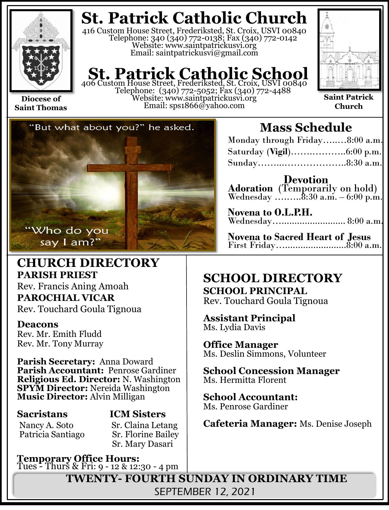

**Saint Thomas**

**St. Patrick Catholic Church**

416 Custom House Street, Frederiksted, St. Croix, USVI 00840 Telephone: 340 (340) 772-0138; Fax (340) 772-0142 Website: www.saintpatrickusvi.org Email: saintpatrickusvi@gmail.com

# **St. Patrick Catholic School**<br>406 Custom House Street, Frederiksted, St. Croix, USVI 00840

Telephone: (340) 772-5052; Fax (340) 772-4488 Website: www.saintpatrickusvi.org Email: sps1866@yahoo.com



**Saint Patrick Church**



## **CHURCH DIRECTORY PARISH PRIEST**

Rev. Francis Aning Amoah **PAROCHIAL VICAR** Rev. Touchard Goula Tignoua

### **Deacons**

Rev. Mr. Emith Fludd Rev. Mr. Tony Murray

**Parish Secretary:** Anna Doward **Parish Accountant:** Penrose Gardiner **Religious Ed. Director:** N. Washington **SPYM Director:** Nereida Washington **Music Director:** Alvin Milligan

Patricia Santiago

## **Sacristans ICM Sisters**

Nancy A. Soto Sr. Claina Letang<br>Patricia Santiago Sr. Florine Bailey Sr. Mary Dasari

**Temporary Office Hours:**  Tues - Thurs & Fri: 9 - 12 & 12:30 - 4 pm

## **Mass Schedule**

| Monday through Friday8:00 a.m. |  |
|--------------------------------|--|
|                                |  |
|                                |  |

**Devotion Adoration** (Temporarily on hold) Wednesday …....... $8:30$  a.m.  $-6:00$  p.m.

**Novena to O.L.P.H.** Wednesday…......................... 8:00 a.m.

**Novena to Sacred Heart of Jesus** First Friday…........................8:00 a.m.

## **SCHOOL DIRECTORY SCHOOL PRINCIPAL**

Rev. Touchard Goula Tignoua

**Assistant Principal** Ms. Lydia Davis

**Office Manager** Ms. Deslin Simmons, Volunteer

**School Concession Manager** Ms. Hermitta Florent

**School Accountant:**  Ms. Penrose Gardiner

**Cafeteria Manager:** Ms. Denise Joseph

**TWENTY- FOURTH SUNDAY IN ORDINARY TIME** SEPTEMBER 12, 2021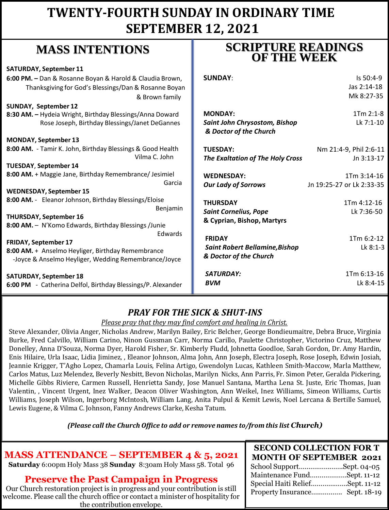## **TWENTY-FOURTH SUNDAY IN ORDINARY TIME SEPTEMBER 12, 2021**

## **MASS INTENTIONS**

| <b>SATURDAY, September 11</b>                               |                                       |                           |
|-------------------------------------------------------------|---------------------------------------|---------------------------|
| 6:00 PM. - Dan & Rosanne Boyan & Harold & Claudia Brown,    | <b>SUNDAY:</b>                        | $Is 50:4-9$               |
| Thanksgiving for God's Blessings/Dan & Rosanne Boyan        |                                       | Jas 2:14-18               |
| & Brown family                                              |                                       | Mk 8:27-35                |
| SUNDAY, September 12                                        |                                       |                           |
| 8:30 AM. - Hydeia Wright, Birthday Blessings/Anna Doward    | <b>MONDAY:</b>                        | $1Tm 2:1-8$               |
| Rose Joseph, Birthday Blessings/Janet DeGannes              | Saint John Chrysostom, Bishop         | Lk 7:1-10                 |
|                                                             | & Doctor of the Church                |                           |
| <b>MONDAY, September 13</b>                                 |                                       |                           |
| 8:00 AM. - Tamir K. John, Birthday Blessings & Good Health  | <b>TUESDAY:</b>                       | Nm 21:4-9, Phil 2:6-11    |
| Vilma C. John                                               | The Exaltation of The Holy Cross      | Jn 3:13-17                |
| TUESDAY, September 14                                       |                                       |                           |
| 8:00 AM. + Maggie Jane, Birthday Remembrance/ Jesimiel      | <b>WEDNESDAY:</b>                     | 1Tm 3:14-16               |
| Garcia                                                      | <b>Our Lady of Sorrows</b>            | Jn 19:25-27 or Lk 2:33-35 |
| <b>WEDNESDAY, September 15</b>                              |                                       |                           |
| 8:00 AM. - Eleanor Johnson, Birthday Blessings/Eloise       | <b>THURSDAY</b>                       | 1Tm 4:12-16               |
| Benjamin                                                    | <b>Saint Cornelius, Pope</b>          | Lk 7:36-50                |
| <b>THURSDAY, September 16</b>                               | & Cyprian, Bishop, Martyrs            |                           |
| 8:00 AM. - N'Komo Edwards, Birthday Blessings /Junie        |                                       |                           |
| Edwards                                                     | <b>FRIDAY</b>                         | 1Tm 6:2-12                |
| <b>FRIDAY, September 17</b>                                 | <b>Saint Robert Bellamine, Bishop</b> | Lk 8:1-3                  |
| 8:00 AM. + Anselmo Heyliger, Birthday Remembrance           | & Doctor of the Church                |                           |
| -Joyce & Anselmo Heyliger, Wedding Remembrance/Joyce        |                                       |                           |
|                                                             | SATURDAY:                             | 1Tm 6:13-16               |
| <b>SATURDAY, September 18</b>                               | <b>BVM</b>                            | Lk 8:4-15                 |
| 6:00 PM - Catherina Delfol, Birthday Blessings/P. Alexander |                                       |                           |

## *PRAY FOR THE SICK & SHUT-INS*

#### *Please pray that they may find comfort and healing in Christ.*

Steve Alexander, Olivia Anger, Nicholas Andrew, Marilyn Bailey, Eric Belcher, George Bondieumaitre, Debra Bruce, Virginia Burke, Fred Calvillo, William Carino, Ninon Gussman Carr, Norma Carillo, Paulette Christopher, Victorino Cruz, Matthew Donelley, Anna D'Souza, Norma Dyer, Harold Fisher, Sr. Kimberly Fludd, Johnetta Goodloe, Sarah Gordon, Dr. Amy Hardin, Enis Hilaire, Urla Isaac, Lidia Jiminez, , Eleanor Johnson, Alma John, Ann Joseph, Electra Joseph, Rose Joseph, Edwin Josiah, Jeannie Krigger, T'Agho Lopez, Chamarla Louis, Felina Artigo, Gwendolyn Lucas, Kathleen Smith-Maccow, Marla Matthew, Carlos Matus, Luz Melendez, Beverly Nesbitt, Bevon Nicholas, Marilyn Nicks, Ann Parris, Fr. Simon Peter, Geralda Pickering, Michelle Gibbs Riviere, Carmen Russell, Henrietta Sandy, Jose Manuel Santana, Martha Lena St. Juste, Eric Thomas, Juan Valentin, , Vincent Urgent, Inez Walker, Deacon Oliver Washington, Ann Weikel, Inez Williams, Simeon Williams, Curtis Williams, Joseph Wilson, Ingerborg McIntosh, William Lang, Anita Pulpul & Kemit Lewis, Noel Lercana & Bertille Samuel, Lewis Eugene, & Vilma C. Johnson, Fanny Andrews Clarke, Kesha Tatum.

*(Please call the Church Office to add or remove names to/from this list Church)*

## **MASS ATTENDANCE – SEPTEMBER 4 & 5, 2021**

**Saturday** 6:00pm Holy Mass 38 **Sunday** 8:30am Holy Mass 58. Total 96

### **Preserve the Past Campaign in Progress**

Our Church restoration project is in progress and your contribution is still welcome. Please call the church office or contact a minister of hospitality for the contribution envelope.

## **SCRIPTURE READINGS OF THE WEEK**

| . .                             |  |
|---------------------------------|--|
| <b>SECOND COLLECTION FOR T</b>  |  |
| <b>MONTH OF SEPTEMBER 2021</b>  |  |
| School SupportSept. 04-05       |  |
| Maintenance FundSept. 11-12     |  |
| Special Haiti ReliefSept. 11-12 |  |
| Property Insurance Sept. 18-19  |  |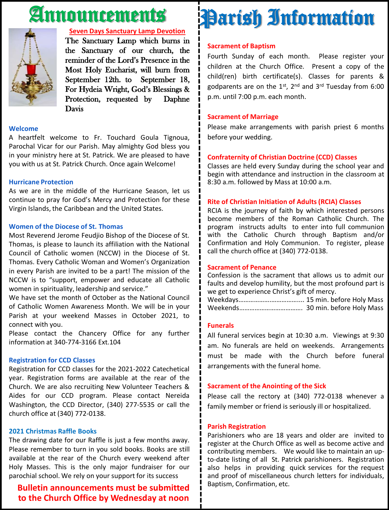# Announcements



#### **Seven Days Sanctuary Lamp Devotion**

The Sanctuary Lamp which burns in the Sanctuary of our church, the reminder of the Lord's Presence in the Most Holy Eucharist, will burn from September 12th. to September 18, For Hydeia Wright, God's Blessings & Protection, requested by Daphne Davis

#### **Welcome**

A heartfelt welcome to Fr. Touchard Goula Tignoua, Parochal Vicar for our Parish. May almighty God bless you in your ministry here at St. Patrick. We are pleased to have you with us at St. Patrick Church. Once again Welcome!

#### **Hurricane Protection**

As we are in the middle of the Hurricane Season, let us continue to pray for God's Mercy and Protection for these Virgin Islands, the Caribbean and the United States.

#### **Women of the Diocese of St. Thomas**

Most Reverend Jerome Feudjio Bishop of the Diocese of St. Thomas, is please to launch its affiliation with the National Council of Catholic women (NCCW) in the Diocese of St. Thomas. Every Catholic Woman and Women's Organization in every Parish are invited to be a part! The mission of the NCCW is to "support, empower and educate all Catholic women in spirituality, leadership and service."

We have set the month of October as the National Council of Catholic Women Awareness Month. We will be in your Parish at your weekend Masses in October 2021, to connect with you.

Please contact the Chancery Office for any further information at 340-774-3166 Ext.104

#### **Registration for CCD Classes**

Registration for CCD classes for the 2021-2022 Catechetical year. Registration forms are available at the rear of the Church. We are also recruiting New Volunteer Teachers & Aides for our CCD program. Please contact Nereida Washington, the CCD Director, (340) 277-5535 or call the church office at (340) 772-0138.

#### **2021 Christmas Raffle Books**

The drawing date for our Raffle is just a few months away. Please remember to turn in you sold books. Books are still available at the rear of the Church every weekend after Holy Masses. This is the only major fundraiser for our parochial school. We rely on your support for its success

#### **Bulletin announcements must be submitted to the Church Office by Wednesday at noon**

# Parish Information

#### **Sacrament of Baptism**

Fourth Sunday of each month. Please register your children at the Church Office. Present a copy of the child(ren) birth certificate(s). Classes for parents & godparents are on the 1st, 2<sup>nd</sup> and 3<sup>rd</sup> Tuesday from 6:00 p.m. until 7:00 p.m. each month.

#### **Sacrament of Marriage**

Please make arrangements with parish priest 6 months before your wedding.

#### **Confraternity of Christian Doctrine (CCD) Classes**

Classes are held every Sunday during the school year and begin with attendance and instruction in the classroom at 8:30 a.m. followed by Mass at 10:00 a.m.

#### **Rite of Christian Initiation of Adults (RCIA) Classes**

RCIA is the journey of faith by which interested persons become members of the Roman Catholic Church. The program instructs adults to enter into full communion with the Catholic Church through Baptism and/or Confirmation and Holy Communion. To register, please call the church office at (340) 772-0138.

#### **Sacrament of Penance**

Confession is the sacrament that allows us to admit our faults and develop humility, but the most profound part is we get to experience Christ's gift of mercy.

Weekdays……………….…………….... 15 min. before Holy Mass Weekends………………………………. 30 min. before Holy Mass

#### **Funerals**

All funeral services begin at 10:30 a.m. Viewings at 9:30 am. No funerals are held on weekends. Arrangements must be made with the Church before funeral arrangements with the funeral home.

#### **Sacrament of the Anointing of the Sick**

Please call the rectory at (340) 772-0138 whenever a family member or friend is seriously ill or hospitalized.

#### **Parish Registration**

Parishioners who are 18 years and older are invited to register at the Church Office as well as become active and contributing members. We would like to maintain an upto-date listing of all St. Patrick parishioners. Registration also helps in providing quick services for the request and proof of miscellaneous church letters for individuals, Baptism, Confirmation, etc.